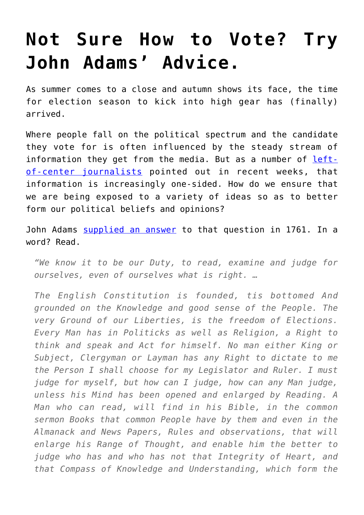## **[Not Sure How to Vote? Try](https://intellectualtakeout.org/2016/11/not-sure-how-to-vote-try-john-adams-advice/) [John Adams' Advice.](https://intellectualtakeout.org/2016/11/not-sure-how-to-vote-try-john-adams-advice/)**

As summer comes to a close and autumn shows its face, the time for election season to kick into high gear has (finally) arrived.

Where people fall on the political spectrum and the candidate they vote for is often influenced by the steady stream of information they get from the media. But as a number of [left](https://www.intellectualtakeout.org/blog/amercian-journalism-collapsing-our-eyes)[of-center journalists](https://www.intellectualtakeout.org/blog/amercian-journalism-collapsing-our-eyes) pointed out in recent weeks, that information is increasingly one-sided. How do we ensure that we are being exposed to a variety of ideas so as to better form our political beliefs and opinions?

John Adams [supplied an answer](https://www.masshist.org/publications/apde2/view?id=ADMS-01-01-02-0006-0008-0001) to that question in 1761. In a word? Read.

*"We know it to be our Duty, to read, examine and judge for ourselves, even of ourselves what is right. …*

*The English Constitution is founded, tis bottomed And grounded on the Knowledge and good sense of the People. The very Ground of our Liberties, is the freedom of Elections. Every Man has in Politicks as well as Religion, a Right to think and speak and Act for himself. No man either King or Subject, Clergyman or Layman has any Right to dictate to me the Person I shall choose for my Legislator and Ruler. I must judge for myself, but how can I judge, how can any Man judge, unless his Mind has been opened and enlarged by Reading. A Man who can read, will find in his Bible, in the common sermon Books that common People have by them and even in the Almanack and News Papers, Rules and observations, that will enlarge his Range of Thought, and enable him the better to judge who has and who has not that Integrity of Heart, and that Compass of Knowledge and Understanding, which form the*